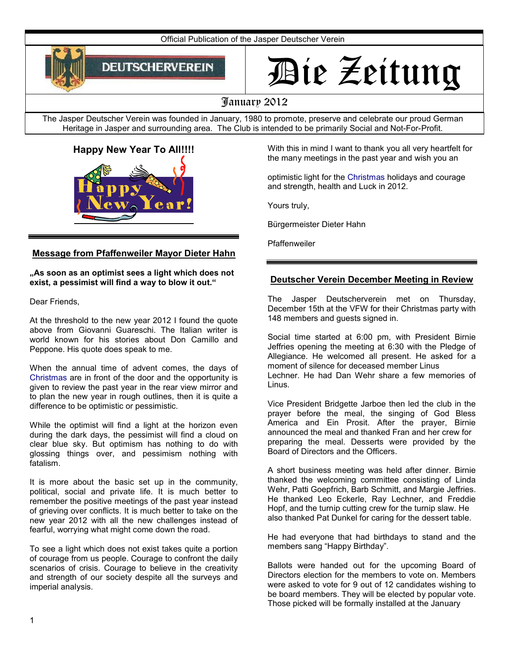

# Die Zeitung

# January 2012

The Jasper Deutscher Verein was founded in January, 1980 to promote, preserve and celebrate our proud German Heritage in Jasper and surrounding area. The Club is intended to be primarily Social and Not-For-Profit.

# **Happy New Year To All!!!!**



# **Message from Pfaffenweiler Mayor Dieter Hahn**

**"As soon as an optimist sees a light which does not exist, a pessimist will find a way to blow it out."** 

Dear Friends,

At the threshold to the new year 2012 I found the quote above from Giovanni Guareschi. The Italian writer is world known for his stories about Don Camillo and Peppone. His quote does speak to me.

When the annual time of advent comes, the days of Christmas are in front of the door and the opportunity is given to review the past year in the rear view mirror and to plan the new year in rough outlines, then it is quite a difference to be optimistic or pessimistic.

While the optimist will find a light at the horizon even during the dark days, the pessimist will find a cloud on clear blue sky. But optimism has nothing to do with glossing things over, and pessimism nothing with fatalism.

It is more about the basic set up in the community, political, social and private life. It is much better to remember the positive meetings of the past year instead of grieving over conflicts. It is much better to take on the new year 2012 with all the new challenges instead of fearful, worrying what might come down the road.

To see a light which does not exist takes quite a portion of courage from us people. Courage to confront the daily scenarios of crisis. Courage to believe in the creativity and strength of our society despite all the surveys and imperial analysis.

With this in mind I want to thank you all very heartfelt for the many meetings in the past year and wish you an

optimistic light for the Christmas holidays and courage and strength, health and Luck in 2012.

Yours truly,

Bürgermeister Dieter Hahn

Pfaffenweiler

# **Deutscher Verein December Meeting in Review**

The Jasper Deutscherverein met on Thursday, December 15th at the VFW for their Christmas party with 148 members and guests signed in.

Social time started at 6:00 pm, with President Birnie Jeffries opening the meeting at 6:30 with the Pledge of Allegiance. He welcomed all present. He asked for a moment of silence for deceased member Linus Lechner. He had Dan Wehr share a few memories of

Linus.

Vice President Bridgette Jarboe then led the club in the prayer before the meal, the singing of God Bless America and Ein Prosit. After the prayer, Birnie announced the meal and thanked Fran and her crew for preparing the meal. Desserts were provided by the Board of Directors and the Officers.

A short business meeting was held after dinner. Birnie thanked the welcoming committee consisting of Linda Wehr, Patti Goepfrich, Barb Schmitt, and Margie Jeffries. He thanked Leo Eckerle, Ray Lechner, and Freddie Hopf, and the turnip cutting crew for the turnip slaw. He also thanked Pat Dunkel for caring for the dessert table.

He had everyone that had birthdays to stand and the members sang "Happy Birthday".

Ballots were handed out for the upcoming Board of Directors election for the members to vote on. Members were asked to vote for 9 out of 12 candidates wishing to be board members. They will be elected by popular vote. Those picked will be formally installed at the January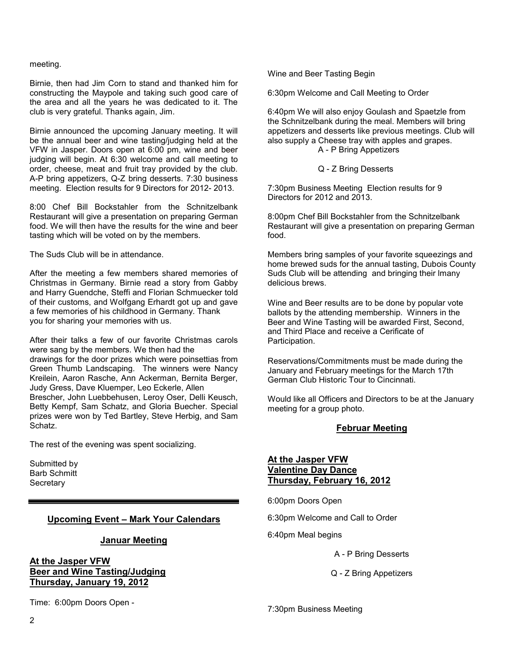#### meeting.

Birnie, then had Jim Corn to stand and thanked him for constructing the Maypole and taking such good care of the area and all the years he was dedicated to it. The club is very grateful. Thanks again, Jim.

Birnie announced the upcoming January meeting. It will be the annual beer and wine tasting/judging held at the VFW in Jasper. Doors open at 6:00 pm, wine and beer judging will begin. At 6:30 welcome and call meeting to order, cheese, meat and fruit tray provided by the club. A-P bring appetizers, Q-Z bring desserts. 7:30 business meeting. Election results for 9 Directors for 2012- 2013.

8:00 Chef Bill Bockstahler from the Schnitzelbank Restaurant will give a presentation on preparing German food. We will then have the results for the wine and beer tasting which will be voted on by the members.

The Suds Club will be in attendance.

After the meeting a few members shared memories of Christmas in Germany. Birnie read a story from Gabby and Harry Guendche, Steffi and Florian Schmuecker told of their customs, and Wolfgang Erhardt got up and gave a few memories of his childhood in Germany. Thank you for sharing your memories with us.

After their talks a few of our favorite Christmas carols were sang by the members. We then had the drawings for the door prizes which were poinsettias from Green Thumb Landscaping. The winners were Nancy Kreilein, Aaron Rasche, Ann Ackerman, Bernita Berger, Judy Gress, Dave Kluemper, Leo Eckerle, Allen Brescher, John Luebbehusen, Leroy Oser, Delli Keusch, Betty Kempf, Sam Schatz, and Gloria Buecher. Special prizes were won by Ted Bartley, Steve Herbig, and Sam Schatz.

The rest of the evening was spent socializing.

Submitted by Barb Schmitt **Secretary** 

## **Upcoming Event – Mark Your Calendars**

#### **Januar Meeting**

**At the Jasper VFW Beer and Wine Tasting/Judging Thursday, January 19, 2012**

Time: 6:00pm Doors Open -

Wine and Beer Tasting Begin

6:30pm Welcome and Call Meeting to Order

6:40pm We will also enjoy Goulash and Spaetzle from the Schnitzelbank during the meal. Members will bring appetizers and desserts like previous meetings. Club will also supply a Cheese tray with apples and grapes. A - P Bring Appetizers

Q - Z Bring Desserts

7:30pm Business Meeting Election results for 9 Directors for 2012 and 2013.

8:00pm Chef Bill Bockstahler from the Schnitzelbank Restaurant will give a presentation on preparing German food.

Members bring samples of your favorite squeezings and home brewed suds for the annual tasting, Dubois County Suds Club will be attending and bringing their lmany delicious brews.

Wine and Beer results are to be done by popular vote ballots by the attending membership. Winners in the Beer and Wine Tasting will be awarded First, Second, and Third Place and receive a Cerificate of Participation.

Reservations/Commitments must be made during the January and February meetings for the March 17th German Club Historic Tour to Cincinnati.

Would like all Officers and Directors to be at the January meeting for a group photo.

#### **Februar Meeting**

## **At the Jasper VFW Valentine Day Dance Thursday, February 16, 2012**

6:00pm Doors Open

6:30pm Welcome and Call to Order

6:40pm Meal begins

A - P Bring Desserts

Q - Z Bring Appetizers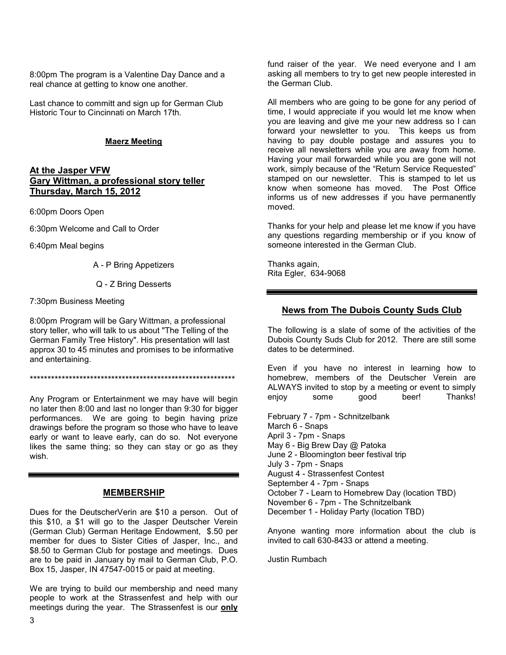8:00pm The program is a Valentine Day Dance and a real chance at getting to know one another.

Last chance to committ and sign up for German Club Historic Tour to Cincinnati on March 17th.

#### **Maerz Meeting**

#### **At the Jasper VFW Gary Wittman, a professional story teller Thursday, March 15, 2012**

6:00pm Doors Open

6:30pm Welcome and Call to Order

6:40pm Meal begins

A - P Bring Appetizers

Q - Z Bring Desserts

7:30pm Business Meeting

8:00pm Program will be Gary Wittman, a professional story teller, who will talk to us about "The Telling of the German Family Tree History". His presentation will last approx 30 to 45 minutes and promises to be informative and entertaining.

\*\*\*\*\*\*\*\*\*\*\*\*\*\*\*\*\*\*\*\*\*\*\*\*\*\*\*\*\*\*\*\*\*\*\*\*\*\*\*\*\*\*\*\*\*\*\*\*\*\*\*\*\*\*\*\*\*\*

Any Program or Entertainment we may have will begin no later then 8:00 and last no longer than 9:30 for bigger performances. We are going to begin having prize drawings before the program so those who have to leave early or want to leave early, can do so. Not everyone likes the same thing; so they can stay or go as they wish.

## **MEMBERSHIP**

Dues for the DeutscherVerin are \$10 a person. Out of this \$10, a \$1 will go to the Jasper Deutscher Verein (German Club) German Heritage Endowment, \$.50 per member for dues to Sister Cities of Jasper, Inc., and \$8.50 to German Club for postage and meetings. Dues are to be paid in January by mail to German Club, P.O. Box 15, Jasper, IN 47547-0015 or paid at meeting.

We are trying to build our membership and need many people to work at the Strassenfest and help with our meetings during the year. The Strassenfest is our **only** 

fund raiser of the year. We need everyone and I am asking all members to try to get new people interested in the German Club.

All members who are going to be gone for any period of time, I would appreciate if you would let me know when you are leaving and give me your new address so I can forward your newsletter to you. This keeps us from having to pay double postage and assures you to receive all newsletters while you are away from home. Having your mail forwarded while you are gone will not work, simply because of the "Return Service Requested" stamped on our newsletter. This is stamped to let us know when someone has moved. The Post Office informs us of new addresses if you have permanently moved.

Thanks for your help and please let me know if you have any questions regarding membership or if you know of someone interested in the German Club.

Thanks again, Rita Egler, 634-9068

## **News from The Dubois County Suds Club**

The following is a slate of some of the activities of the Dubois County Suds Club for 2012. There are still some dates to be determined.

Even if you have no interest in learning how to homebrew, members of the Deutscher Verein are ALWAYS invited to stop by a meeting or event to simply enjoy some good beer! Thanks!

February 7 - 7pm - Schnitzelbank March 6 - Snaps April 3 - 7pm - Snaps May 6 - Big Brew Day @ Patoka June 2 - Bloomington beer festival trip July 3 - 7pm - Snaps August 4 - Strassenfest Contest September 4 - 7pm - Snaps October 7 - Learn to Homebrew Day (location TBD) November 6 - 7pm - The Schnitzelbank December 1 - Holiday Party (location TBD)

Anyone wanting more information about the club is invited to call 630-8433 or attend a meeting.

Justin Rumbach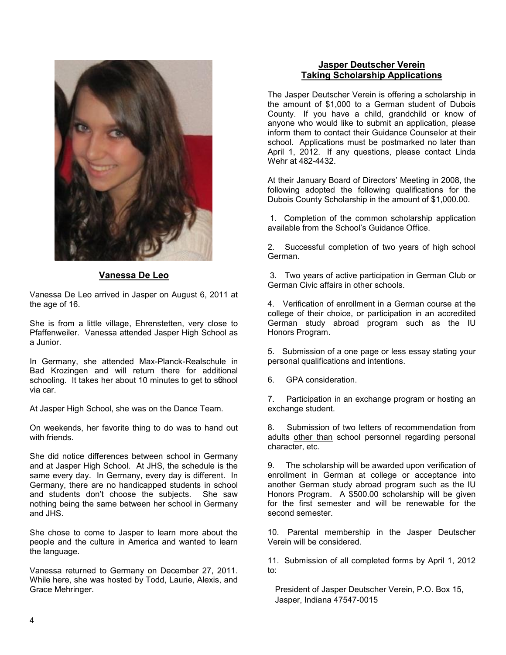

## **Vanessa De Leo**

Vanessa De Leo arrived in Jasper on August 6, 2011 at the age of 16.

She is from a little village, Ehrenstetten, very close to Pfaffenweiler. Vanessa attended Jasper High School as a Junior.

In Germany, she attended Max-Planck-Realschule in Bad Krozingen and will return there for additional schooling. It takes her about 10 minutes to get to s6 hool via car.

At Jasper High School, she was on the Dance Team.

On weekends, her favorite thing to do was to hand out with friends.

She did notice differences between school in Germany and at Jasper High School. At JHS, the schedule is the same every day. In Germany, every day is different. In Germany, there are no handicapped students in school and students don't choose the subjects. She saw nothing being the same between her school in Germany and JHS.

She chose to come to Jasper to learn more about the people and the culture in America and wanted to learn the language.

Vanessa returned to Germany on December 27, 2011. While here, she was hosted by Todd, Laurie, Alexis, and Grace Mehringer.

# **Jasper Deutscher Verein Taking Scholarship Applications**

The Jasper Deutscher Verein is offering a scholarship in the amount of \$1,000 to a German student of Dubois County. If you have a child, grandchild or know of anyone who would like to submit an application, please inform them to contact their Guidance Counselor at their school. Applications must be postmarked no later than April 1, 2012. If any questions, please contact Linda Wehr at 482-4432.

At their January Board of Directors' Meeting in 2008, the following adopted the following qualifications for the Dubois County Scholarship in the amount of \$1,000.00.

1. Completion of the common scholarship application available from the School's Guidance Office.

2. Successful completion of two years of high school German.

 3. Two years of active participation in German Club or German Civic affairs in other schools.

4. Verification of enrollment in a German course at the college of their choice, or participation in an accredited German study abroad program such as the IU Honors Program.

5. Submission of a one page or less essay stating your personal qualifications and intentions.

6. 6. GPA consideration.

7. Participation in an exchange program or hosting an exchange student.

8. Submission of two letters of recommendation from adults other than school personnel regarding personal character, etc.

9. The scholarship will be awarded upon verification of enrollment in German at college or acceptance into another German study abroad program such as the IU Honors Program. A \$500.00 scholarship will be given for the first semester and will be renewable for the second semester.

10. Parental membership in the Jasper Deutscher Verein will be considered.

11. Submission of all completed forms by April 1, 2012 to:

President of Jasper Deutscher Verein, P.O. Box 15, Jasper, Indiana 47547-0015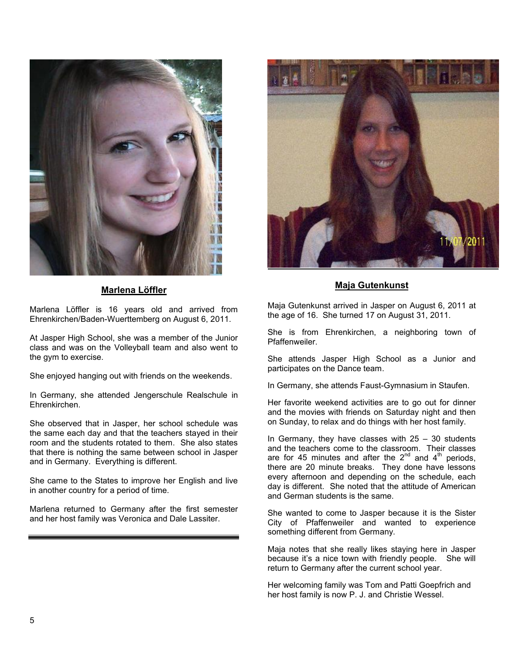

## **Marlena Löffler**

Marlena Löffler is 16 years old and arrived from Ehrenkirchen/Baden-Wuerttemberg on August 6, 2011.

At Jasper High School, she was a member of the Junior class and was on the Volleyball team and also went to the gym to exercise.

She enjoyed hanging out with friends on the weekends.

In Germany, she attended Jengerschule Realschule in Ehrenkirchen.

She observed that in Jasper, her school schedule was the same each day and that the teachers stayed in their room and the students rotated to them. She also states that there is nothing the same between school in Jasper and in Germany. Everything is different.

She came to the States to improve her English and live in another country for a period of time.

Marlena returned to Germany after the first semester and her host family was Veronica and Dale Lassiter.



#### **Maja Gutenkunst**

Maja Gutenkunst arrived in Jasper on August 6, 2011 at the age of 16. She turned 17 on August 31, 2011.

She is from Ehrenkirchen, a neighboring town of Pfaffenweiler.

She attends Jasper High School as a Junior and participates on the Dance team.

In Germany, she attends Faust-Gymnasium in Staufen.

Her favorite weekend activities are to go out for dinner and the movies with friends on Saturday night and then on Sunday, to relax and do things with her host family.

In Germany, they have classes with  $25 - 30$  students and the teachers come to the classroom. Their classes are for 45 minutes and after the  $2^{nd}$  and  $4^{th}$  periods, there are 20 minute breaks. They done have lessons every afternoon and depending on the schedule, each day is different. She noted that the attitude of American and German students is the same.

She wanted to come to Jasper because it is the Sister City of Pfaffenweiler and wanted to experience something different from Germany.

Maja notes that she really likes staying here in Jasper because it's a nice town with friendly people. She will return to Germany after the current school year.

Her welcoming family was Tom and Patti Goepfrich and her host family is now P. J. and Christie Wessel.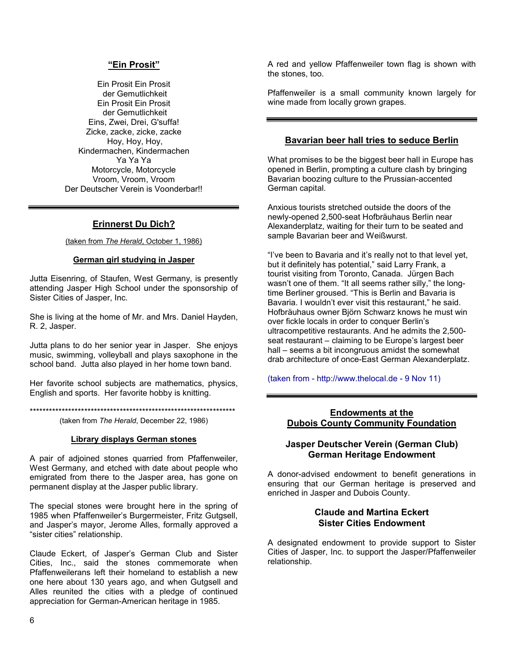## **"Ein Prosit"**

Ein Prosit Ein Prosit der Gemutlichkeit Ein Prosit Ein Prosit der Gemutlichkeit Eins, Zwei, Drei, G'suffa! Zicke, zacke, zicke, zacke Hoy, Hoy, Hoy, Kindermachen, Kindermachen Ya Ya Ya Motorcycle, Motorcycle Vroom, Vroom, Vroom Der Deutscher Verein is Voonderbar!!

# **Erinnerst Du Dich?**

(taken from *The Herald*, October 1, 1986)

#### **German girl studying in Jasper**

Jutta Eisenring, of Staufen, West Germany, is presently attending Jasper High School under the sponsorship of Sister Cities of Jasper, Inc.

She is living at the home of Mr. and Mrs. Daniel Hayden, R. 2, Jasper.

Jutta plans to do her senior year in Jasper. She enjoys music, swimming, volleyball and plays saxophone in the school band. Jutta also played in her home town band.

Her favorite school subjects are mathematics, physics, English and sports. Her favorite hobby is knitting.

\*\*\*\*\*\*\*\*\*\*\*\*\*\*\*\*\*\*\*\*\*\*\*\*\*\*\*\*\*\*\*\*\*\*\*\*\*\*\*\*\*\*\*\*\*\*\*\*\*\*\*\*\*\*\*\*\*\*\*\*\*\*\*\*

(taken from *The Herald*, December 22, 1986)

#### **Library displays German stones**

A pair of adjoined stones quarried from Pfaffenweiler, West Germany, and etched with date about people who emigrated from there to the Jasper area, has gone on permanent display at the Jasper public library.

The special stones were brought here in the spring of 1985 when Pfaffenweiler's Burgermeister, Fritz Gutgsell, and Jasper's mayor, Jerome Alles, formally approved a "sister cities" relationship.

Claude Eckert, of Jasper's German Club and Sister Cities, Inc., said the stones commemorate when Pfaffenweilerans left their homeland to establish a new one here about 130 years ago, and when Gutgsell and Alles reunited the cities with a pledge of continued appreciation for German-American heritage in 1985.

A red and yellow Pfaffenweiler town flag is shown with the stones, too.

Pfaffenweiler is a small community known largely for wine made from locally grown grapes.

#### **Bavarian beer hall tries to seduce Berlin**

What promises to be the biggest beer hall in Europe has opened in Berlin, prompting a culture clash by bringing Bavarian boozing culture to the Prussian-accented German capital.

Anxious tourists stretched outside the doors of the newly-opened 2,500-seat Hofbräuhaus Berlin near Alexanderplatz, waiting for their turn to be seated and sample Bavarian beer and Weißwurst.

"I've been to Bavaria and it's really not to that level yet, but it definitely has potential," said Larry Frank, a tourist visiting from Toronto, Canada. Jürgen Bach wasn't one of them. "It all seems rather silly," the longtime Berliner groused. "This is Berlin and Bavaria is Bavaria. I wouldn't ever visit this restaurant," he said. Hofbräuhaus owner Björn Schwarz knows he must win over fickle locals in order to conquer Berlin's ultracompetitive restaurants. And he admits the 2,500 seat restaurant – claiming to be Europe's largest beer hall – seems a bit incongruous amidst the somewhat drab architecture of once-East German Alexanderplatz.

(taken from - http://www.thelocal.de - 9 Nov 11)

## **Endowments at the Dubois County Community Foundation**

# **Jasper Deutscher Verein (German Club) German Heritage Endowment**

A donor-advised endowment to benefit generations in ensuring that our German heritage is preserved and enriched in Jasper and Dubois County.

## **Claude and Martina Eckert Sister Cities Endowment**

A designated endowment to provide support to Sister Cities of Jasper, Inc. to support the Jasper/Pfaffenweiler relationship.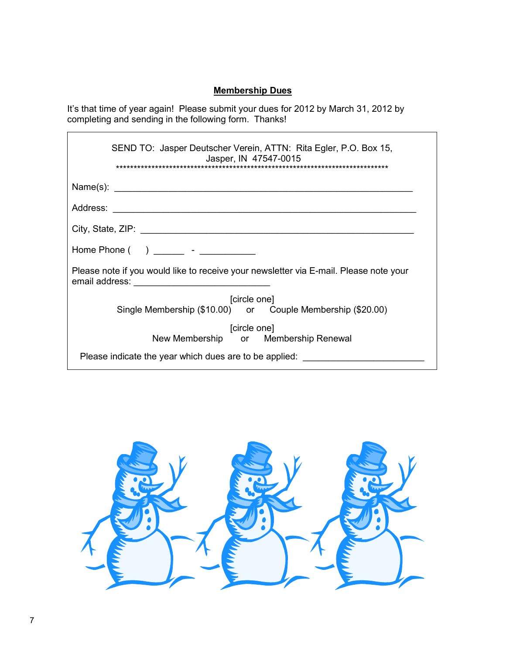# **Membership Dues**

It's that time of year again! Please submit your dues for 2012 by March 31, 2012 by completing and sending in the following form. Thanks!

| SEND TO: Jasper Deutscher Verein, ATTN: Rita Egler, P.O. Box 15,<br>Jasper, IN 47547-0015                      |
|----------------------------------------------------------------------------------------------------------------|
|                                                                                                                |
|                                                                                                                |
|                                                                                                                |
| Home Phone ( ) and the set of the set of the set of the set of the set of the set of the set of the set of the |
| Please note if you would like to receive your newsletter via E-mail. Please note your                          |
| [circle one]<br>Single Membership (\$10.00) or Couple Membership (\$20.00)                                     |
| [circle one]<br>New Membership or Membership Renewal                                                           |
| Please indicate the year which dues are to be applied:                                                         |



 $\mathsf{r}$